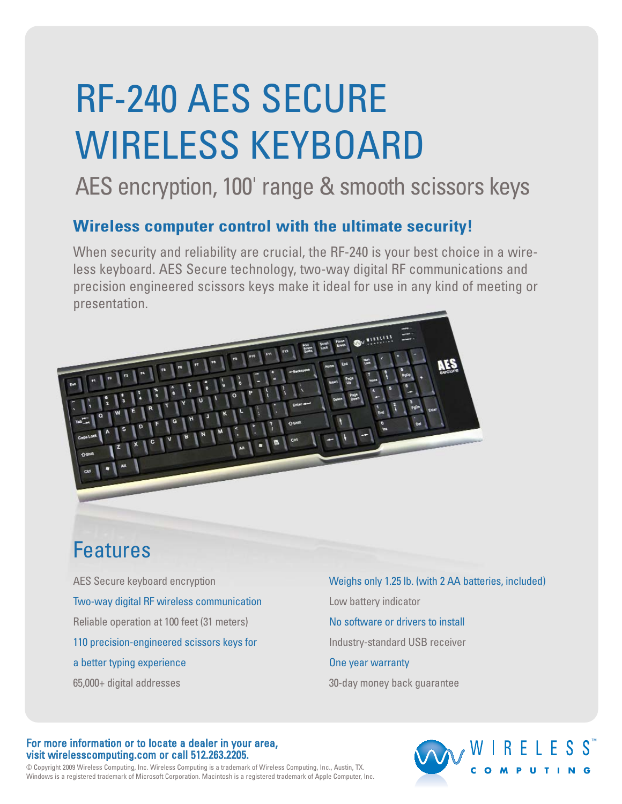# RF-240 AES SECURE WIRELESS KEYBOARD

## AES encryption, 100' range & smooth scissors keys

### **Wireless computer control with the ultimate security!**

When security and reliability are crucial, the RF-240 is your best choice in a wireless keyboard. AES Secure technology, two-way digital RF communications and precision engineered scissors keys make it ideal for use in any kind of meeting or presentation.



### Features

AES Secure keyboard encryption Two-way digital RF wireless communication Reliable operation at 100 feet (31 meters) 110 precision-engineered scissors keys for a better typing experience 65,000+ digital addresses

Weighs only 1.25 lb. (with 2 AA batteries, included) Low battery indicator No software or drivers to install Industry-standard USB receiver One year warranty 30-day money back guarantee

#### For more information or to locate a dealer in your area, visit wirelesscomputing.com or call 512.263.2205.

© Copyright 2009 Wireless Computing, Inc. Wireless Computing is a trademark of Wireless Computing, Inc., Austin, TX. Windows is a registered trademark of Microsoft Corporation. Macintosh is a registered trademark of Apple Computer, Inc.